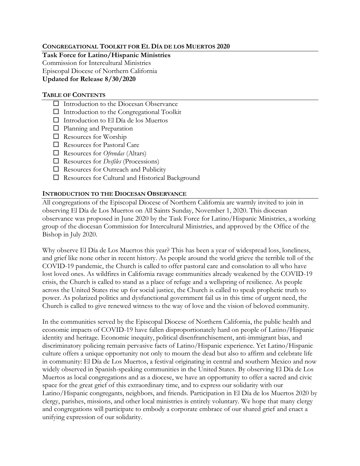#### **CONGREGATIONAL TOOLKIT FOR EL DÍA DE LOS MUERTOS 2020**

**Task Force for Latino/Hispanic Ministries** Commission for Intercultural Ministries Episcopal Diocese of Northern California **Updated for Release 8/30/2020**

#### **TABLE OF CONTENTS**

- Introduction to the Diocesan Observance
- $\Box$  Introduction to the Congregational Toolkit
- Introduction to El Día de los Muertos
- □ Planning and Preparation
- $\Box$  Resources for Worship
- Resources for Pastoral Care
- Resources for *Ofrendas* (Altars)
- Resources for *Desfiles* (Processions)
- □ Resources for Outreach and Publicity
- Resources for Cultural and Historical Background

#### **INTRODUCTION TO THE DIOCESAN OBSERVANCE**

All congregations of the Episcopal Diocese of Northern California are warmly invited to join in observing El Día de Los Muertos on All Saints Sunday, November 1, 2020. This diocesan observance was proposed in June 2020 by the Task Force for Latino/Hispanic Ministries, a working group of the diocesan Commission for Intercultural Ministries, and approved by the Office of the Bishop in July 2020.

Why observe El Día de Los Muertos this year? This has been a year of widespread loss, loneliness, and grief like none other in recent history. As people around the world grieve the terrible toll of the COVID-19 pandemic, the Church is called to offer pastoral care and consolation to all who have lost loved ones. As wildfires in California ravage communities already weakened by the COVID-19 crisis, the Church is called to stand as a place of refuge and a wellspring of resilience. As people across the United States rise up for social justice, the Church is called to speak prophetic truth to power. As polarized politics and dysfunctional government fail us in this time of urgent need, the Church is called to give renewed witness to the way of love and the vision of beloved community.

In the communities served by the Episcopal Diocese of Northern California, the public health and economic impacts of COVID-19 have fallen disproportionately hard on people of Latino/Hispanic identity and heritage. Economic inequity, political disenfranchisement, anti-immigrant bias, and discriminatory policing remain pervasive facts of Latino/Hispanic experience. Yet Latino/Hispanic culture offers a unique opportunity not only to mourn the dead but also to affirm and celebrate life in community: El Día de Los Muertos, a festival originating in central and southern Mexico and now widely observed in Spanish-speaking communities in the United States. By observing El Día de Los Muertos as local congregations and as a diocese, we have an opportunity to offer a sacred and civic space for the great grief of this extraordinary time, and to express our solidarity with our Latino/Hispanic congregants, neighbors, and friends. Participation in El Día de los Muertos 2020 by clergy, parishes, missions, and other local ministries is entirely voluntary. We hope that many clergy and congregations will participate to embody a corporate embrace of our shared grief and enact a unifying expression of our solidarity.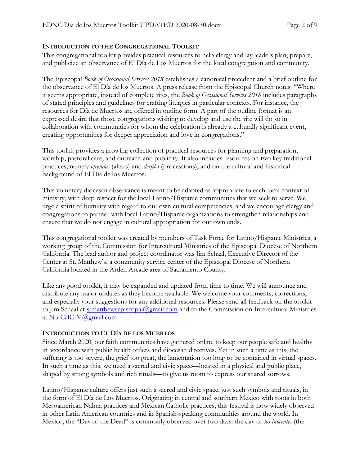## **INTRODUCTION TO THE CONGREGATIONAL TOOLKIT**

This congregational toolkit provides practical resources to help clergy and lay leaders plan, prepare, and publicize an observance of El Día de Los Muertos for the local congregation and community.

The Episcopal *Book of Occasional Services 2018* establishes a canonical precedent and a brief outline for the observance of El Día de los Muertos. A press release from the Episcopal Church notes: "Where it seems appropriate, instead of complete rites, the *Book of Occasional Services 2018* includes paragraphs of stated principles and guidelines for crafting liturgies in particular contexts. For instance, the resources for Día de Muertos are offered in outline form. A part of the outline format is an expressed desire that those congregations wishing to develop and use the rite will do so in collaboration with communities for whom the celebration is already a culturally significant event, creating opportunities for deeper appreciation and love in congregations."

This toolkit provides a growing collection of practical resources for planning and preparation, worship, pastoral care, and outreach and publicity. It also includes resources on two key traditional practices, namely *ofrendas* (altars) and *desfiles* (processions), and on the cultural and historical background of El Día de los Muertos.

This voluntary diocesan observance is meant to be adapted as appropriate to each local context of ministry, with deep respect for the local Latino/Hispanic communities that we seek to serve. We urge a spirit of humility with regard to our own cultural competencies, and we encourage clergy and congregations to partner with local Latino/Hispanic organizations to strengthen relationships and ensure that we do not engage in cultural appropriation for our own ends.

This congregational toolkit was created by members of Task Force for Latino/Hispanic Ministries, a working group of the Commission for Intercultural Ministries of the Episcopal Diocese of Northern California. The lead author and project coordinator was Jim Schaal, Executive Director of the Center at St. Matthew's, a community service center of the Episcopal Diocese of Northern California located in the Arden Arcade area of Sacramento County.

Like any good toolkit, it may be expanded and updated from time to time. We will announce and distribute any major updates as they become available. We welcome your comments, corrections, and especially your suggestions for any additional resources. Please send all feedback on the toolkit to Jim Schaal at [stmatthewsepiscopal@gmail.com](mailto:stmatthewsepiscopal@gmail.com) and to the Commission on Intercultural Ministries at [NorCalCIM@gmail.com](mailto:NorCalCIM@gmail.com)

## **INTRODUCTION TO EL DÍA DE LOS MUERTOS**

Since March 2020, our faith communities have gathered online to keep our people safe and healthy in accordance with public health orders and diocesan directives. Yet in such a time as this, the suffering is too severe, the grief too great, the lamentation too long to be contained in virtual spaces. In such a time as this, we need a sacred and civic space—located in a physical and public place, shaped by strong symbols and rich rituals—to give us room to express our shared sorrows.

Latino/Hispanic culture offers just such a sacred and civic space, just such symbols and rituals, in the form of El Día de Los Muertos. Originating in central and southern Mexico with roots in both Mesoamerican Nahua practices and Mexican Catholic practices, this festival is now widely observed in other Latin American countries and in Spanish-speaking communities around the world. In Mexico, the "Day of the Dead" is commonly observed over two days: the day of *los inocentes* (the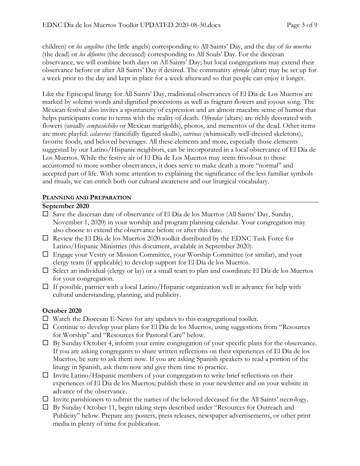children) or *los angelitos* (the little angels) corresponding to All Saints' Day, and the day of *los muertos*  (the dead) or *los difuntos* (the deceased) corresponding to All Souls' Day. For the diocesan observance, we will combine both days on All Saints' Day; but local congregations may extend their observance before or after All Saints' Day if desired. The community *ofrenda* (altar) may be set up for a week prior to the day and kept in place for a week afterward so that people can enjoy it longer.

Like the Episcopal liturgy for All Saints' Day, traditional observances of El Día de Los Muertos are marked by solemn words and dignified processions as well as fragrant flowers and joyous song. The Mexican festival also invites a spontaneity of expression and an almost macabre sense of humor that helps participants come to terms with the reality of death. *Ofrendas* (altars) are richly decorated with flowers (usually *cempasúchiles* or Mexican marigolds), photos, and mementos of the dead. Other items are more playful: *calaveras* (fancifully figured skulls), *catrinas* (whimsically well-dressed skeletons), favorite foods, and beloved beverages. All these elements and more, especially those elements suggested by our Latino/Hispanic neighbors, can be incorporated in a local observance of El Día de Los Muertos. While the festive air of El Día de Los Muertos may seem frivolous to those accustomed to more somber observances, it does serve to make death a more "normal" and accepted part of life. With some attention to explaining the significance of the less familiar symbols and rituals, we can enrich both our cultural awareness and our liturgical vocabulary.

# **PLANNING AND PREPARATION**

## **September 2020**

- $\square$  Save the diocesan date of observance of El Día de los Muertos (All Saints' Day, Sunday, November 1, 2020) in your worship and program planning calendar. Your congregation may also choose to extend the observance before or after this date.
- $\Box$  Review the El Día de los Muertos 2020 toolkit distributed by the EDNC Task Force for Latino/Hispanic Ministries (this document, available in September 2020).
- Engage your Vestry or Mission Committee, your Worship Committee (or similar), and your clergy team (if applicable) to develop support for El Día de los Muertos.
- $\Box$  Select an individual (clergy or lay) or a small team to plan and coordinate El Día de los Muertos for your congregation.
- $\Box$  If possible, partner with a local Latino/Hispanic organization well in advance for help with cultural understanding, planning, and publicity.

# **October 2020**

- $\Box$  Watch the Diocesan E-News for any updates to this congregational toolkit.
- $\Box$  Continue to develop your plans for El Día de los Muertos, using suggestions from "Resources" for Worship" and "Resources for Pastoral Care" below.
- $\Box$  By Sunday October 4, inform your entire congregation of your specific plans for the observance. If you are asking congregants to share written reflections on their experiences of El Día de los Muertos, be sure to ask them now. If you are asking Spanish speakers to read a portion of the liturgy in Spanish, ask them now and give them time to practice.
- $\Box$  Invite Latino/Hispanic members of your congregation to write brief reflections on their experiences of El Día de los Muertos; publish these in your newsletter and on your website in advance of the observance.
- $\Box$  Invite parishioners to submit the names of the beloved deceased for the All Saints' necrology.
- By Sunday October 11, begin taking steps described under "Resources for Outreach and Publicity" below. Prepare any posters, press releases, newspaper advertisements, or other print media in plenty of time for publication.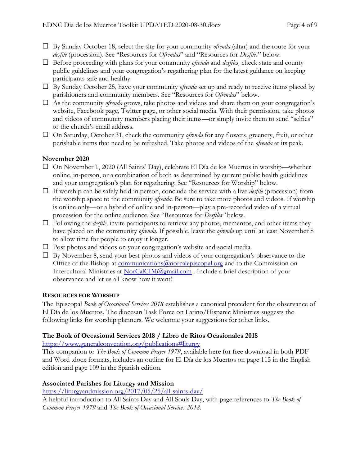- By Sunday October 18, select the site for your community *ofrenda* (altar) and the route for your *desfile* (procession). See "Resources for *Ofrendas*" and "Resources for *Desfiles*" below.
- Before proceeding with plans for your community *ofrenda* and *desfiles,* check state and county public guidelines and your congregation's regathering plan for the latest guidance on keeping participants safe and healthy.
- □ By Sunday October 25, have your community *ofrenda* set up and ready to receive items placed by parishioners and community members. See "Resources for *Ofrendas*" below.
- As the community *ofrenda* grows, take photos and videos and share them on your congregation's website, Facebook page, Twitter page, or other social media. With their permission, take photos and videos of community members placing their items—or simply invite them to send "selfies" to the church's email address.
- On Saturday, October 31, check the community *ofrenda* for any flowers, greenery, fruit, or other perishable items that need to be refreshed. Take photos and videos of the *ofrenda* at its peak.

# **November 2020**

- $\Box$  On November 1, 2020 (All Saints' Day), celebrate El Día de los Muertos in worship—whether online, in-person, or a combination of both as determined by current public health guidelines and your congregation's plan for regathering. See "Resources for Worship" below.
- If worship can be safely held in person, conclude the service with a live *desfile* (procession) from the worship space to the community *ofrenda.* Be sure to take more photos and videos. If worship is online only—or a hybrid of online and in-person—play a pre-recorded video of a virtual procession for the online audience. See "Resources for *Desfiles"* below.
- $\Box$  Following the *desfile*, invite participants to retrieve any photos, mementos, and other items they have placed on the community *ofrenda.* If possible, leave the *ofrenda* up until at least November 8 to allow time for people to enjoy it longer.
- $\square$  Post photos and videos on your congregation's website and social media.
- $\Box$  By November 8, send your best photos and videos of your congregation's observance to the Office of the Bishop at communications @norcalepiscopal.org and to the Commission on Intercultural Ministries at [NorCalCIM@gmail.com](mailto:NorCalCIM@gmail.com) . Include a brief description of your observance and let us all know how it went!

## **RESOURCES FOR WORSHIP**

The Episcopal *Book of Occasional Services 2018* establishes a canonical precedent for the observance of El Día de los Muertos. The diocesan Task Force on Latino/Hispanic Ministries suggests the following links for worship planners. We welcome your suggestions for other links.

## **The Book of Occasional Services 2018 / Libro de Ritos Ocasionales 2018**

<https://www.generalconvention.org/publications#liturgy>

This companion to *The Book of Common Prayer 1979*, available here for free download in both PDF and Word .docx formats, includes an outline for El Día de los Muertos on page 115 in the English edition and page 109 in the Spanish edition.

# **Associated Parishes for Liturgy and Mission**

<https://liturgyandmission.org/2017/05/25/all-saints-day/>

A helpful introduction to All Saints Day and All Souls Day, with page references to *The Book of Common Prayer 1979* and *The Book of Occasional Services 2018*.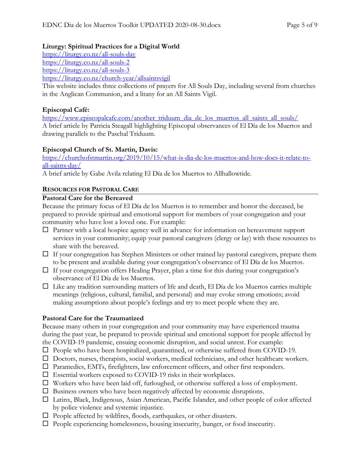## **Liturgy: Spiritual Practices for a Digital World**

<https://liturgy.co.nz/all-souls-day>

<https://liturgy.co.nz/all-souls-2>

<https://liturgy.co.nz/all-souls-3>

<https://liturgy.co.nz/church-year/allsaintsvigil>

This website includes three collections of prayers for All Souls Day, including several from churches in the Anglican Communion, and a litany for an All Saints Vigil.

# **Episcopal Café:**

https://www.episcopalcafe.com/another\_triduum\_dia\_de\_los\_muertos\_all\_saints\_all\_souls/ A brief article by Patricia Steagall highlighting Episcopal observances of El Día de los Muertos and drawing parallels to the Paschal Triduum.

# **Episcopal Church of St. Martin, Davis:**

[https://churchofstmartin.org/2019/10/15/what-is-dia-de-los-muertos-and-how-does-it-relate-to](https://churchofstmartin.org/2019/10/15/what-is-dia-de-los-muertos-and-how-does-it-relate-to-all-saints-day/)[all-saints-day/](https://churchofstmartin.org/2019/10/15/what-is-dia-de-los-muertos-and-how-does-it-relate-to-all-saints-day/)

A brief article by Gabe Avila relating El Día de los Muertos to Allhallowtide.

# **RESOURCES FOR PASTORAL CARE**

# **Pastoral Care for the Bereaved**

Because the primary focus of El Día de los Muertos is to remember and honor the deceased, be prepared to provide spiritual and emotional support for members of your congregation and your community who have lost a loved one. For example:

- $\Box$  Partner with a local hospice agency well in advance for information on bereavement support services in your community; equip your pastoral caregivers (clergy or lay) with these resources to share with the bereaved.
- $\Box$  If your congregation has Stephen Ministers or other trained lay pastoral caregivers, prepare them to be present and available during your congregation's observance of El Día de los Muertos.
- $\Box$  If your congregation offers Healing Prayer, plan a time for this during your congregation's observance of El Día de los Muertos.
- $\Box$  Like any tradition surrounding matters of life and death, El Día de los Muertos carries multiple meanings (religious, cultural, familial, and personal) and may evoke strong emotions; avoid making assumptions about people's feelings and try to meet people where they are.

# **Pastoral Care for the Traumatized**

Because many others in your congregation and your community may have experienced trauma during the past year, be prepared to provide spiritual and emotional support for people affected by the COVID-19 pandemic, ensuing economic disruption, and social unrest. For example:

- $\square$  People who have been hospitalized, quarantined, or otherwise suffered from COVID-19.
- Doctors, nurses, therapists, social workers, medical technicians, and other healthcare workers.
- Paramedics, EMTs, firefighters, law enforcement officers, and other first responders.
- $\square$  Essential workers exposed to COVID-19 risks in their workplaces.
- Workers who have been laid off, furloughed, or otherwise suffered a loss of employment.
- $\square$  Business owners who have been negatively affected by economic disruptions.
- Latinx, Black, Indigenous, Asian American, Pacific Islander, and other people of color affected by police violence and systemic injustice.
- $\Box$  People affected by wildfires, floods, earthquakes, or other disasters.
- $\Box$  People experiencing homelessness, housing insecurity, hunger, or food insecurity.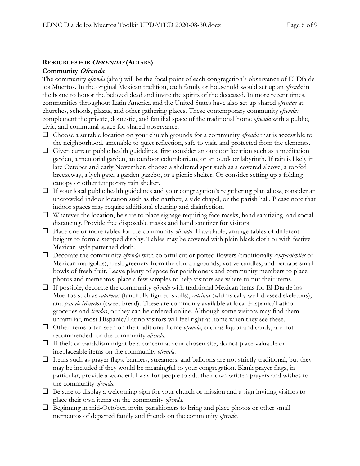#### **RESOURCES FOR OFRENDAS (ALTARS)**

#### **Community Ofrenda**

The community *ofrenda* (altar) will be the focal point of each congregation's observance of El Día de los Muertos. In the original Mexican tradition, each family or household would set up an *ofrenda* in the home to honor the beloved dead and invite the spirits of the deceased. In more recent times, communities throughout Latin America and the United States have also set up shared *ofrendas* at churches, schools, plazas, and other gathering places. These contemporary community *ofrendas* complement the private, domestic, and familial space of the traditional home *ofrenda* with a public, civic, and communal space for shared observance.

- Choose a suitable location on your church grounds for a community *ofrenda* that is accessible to the neighborhood, amenable to quiet reflection, safe to visit, and protected from the elements.
- $\Box$  Given current public health guidelines, first consider an outdoor location such as a meditation garden, a memorial garden, an outdoor columbarium, or an outdoor labyrinth. If rain is likely in late October and early November, choose a sheltered spot such as a covered alcove, a roofed breezeway, a lych gate, a garden gazebo, or a picnic shelter. Or consider setting up a folding canopy or other temporary rain shelter.
- $\Box$  If your local public health guidelines and your congregation's regathering plan allow, consider an uncrowded indoor location such as the narthex, a side chapel, or the parish hall. Please note that indoor spaces may require additional cleaning and disinfection.
- $\Box$  Whatever the location, be sure to place signage requiring face masks, hand sanitizing, and social distancing. Provide free disposable masks and hand sanitizer for visitors.
- $\Box$  Place one or more tables for the community *ofrenda*. If available, arrange tables of different heights to form a stepped display. Tables may be covered with plain black cloth or with festive Mexican-style patterned cloth.
- Decorate the community *ofrenda* with colorful cut or potted flowers (traditionally *cempasúchiles* or Mexican marigolds), fresh greenery from the church grounds, votive candles, and perhaps small bowls of fresh fruit. Leave plenty of space for parishioners and community members to place photos and mementos; place a few samples to help visitors see where to put their items.
- If possible, decorate the community *ofrenda* with traditional Mexican items for El Día de los Muertos such as *calaveras* (fancifully figured skulls), *catrinas* (whimsically well-dressed skeletons), and *pan de Muertos* (sweet bread). These are commonly available at local Hispanic/Latino groceries and *tiendas*, or they can be ordered online. Although some visitors may find them unfamiliar, most Hispanic/Latino visitors will feel right at home when they see these.
- Other items often seen on the traditional home *ofrenda*, such as liquor and candy, are not recommended for the community *ofrenda*.
- $\Box$  If theft or vandalism might be a concern at your chosen site, do not place valuable or irreplaceable items on the community *ofrenda*.
- $\Box$  Items such as prayer flags, banners, streamers, and balloons are not strictly traditional, but they may be included if they would be meaningful to your congregation. Blank prayer flags, in particular, provide a wonderful way for people to add their own written prayers and wishes to the community *ofrenda*.
- $\Box$  Be sure to display a welcoming sign for your church or mission and a sign inviting visitors to place their own items on the community *ofrenda*.
- $\Box$  Beginning in mid-October, invite parishioners to bring and place photos or other small mementos of departed family and friends on the community *ofrenda.*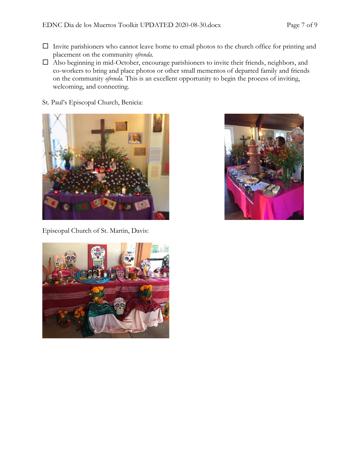- $\Box$  Invite parishioners who cannot leave home to email photos to the church office for printing and placement on the community *ofrenda*.
- Also beginning in mid-October, encourage parishioners to invite their friends, neighbors, and co-workers to bring and place photos or other small mementos of departed family and friends on the community *ofrenda.* This is an excellent opportunity to begin the process of inviting, welcoming, and connecting.
- St. Paul's Episcopal Church, Benicia:



Episcopal Church of St. Martin, Davis:



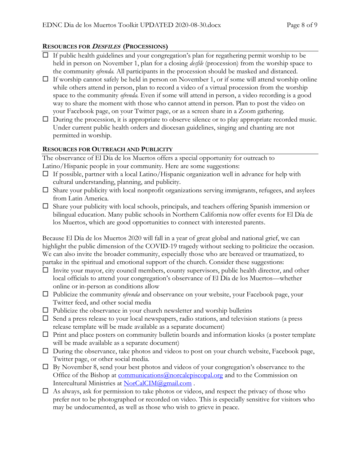# **RESOURCES FOR DESFILES (PROCESSIONS)**

- $\Box$  If public health guidelines and your congregation's plan for regathering permit worship to be held in person on November 1, plan for a closing *desfile* (procession) from the worship space to the community *ofrenda.* All participants in the procession should be masked and distanced.
- $\Box$  If worship cannot safely be held in person on November 1, or if some will attend worship online while others attend in person, plan to record a video of a virtual procession from the worship space to the community *ofrenda.* Even if some will attend in person, a video recording is a good way to share the moment with those who cannot attend in person. Plan to post the video on your Facebook page, on your Twitter page, or as a screen share in a Zoom gathering.
- $\Box$  During the procession, it is appropriate to observe silence or to play appropriate recorded music. Under current public health orders and diocesan guidelines, singing and chanting are not permitted in worship.

## **RESOURCES FOR OUTREACH AND PUBLICITY**

The observance of El Día de los Muertos offers a special opportunity for outreach to Latino/Hispanic people in your community. Here are some suggestions:

- $\Box$  If possible, partner with a local Latino/Hispanic organization well in advance for help with cultural understanding, planning, and publicity.
- $\Box$  Share your publicity with local nonprofit organizations serving immigrants, refugees, and asylees from Latin America.
- $\Box$  Share your publicity with local schools, principals, and teachers offering Spanish immersion or bilingual education. Many public schools in Northern California now offer events for El Día de los Muertos, which are good opportunities to connect with interested parents.

Because El Día de los Muertos 2020 will fall in a year of great global and national grief, we can highlight the public dimension of the COVID-19 tragedy without seeking to politicize the occasion. We can also invite the broader community, especially those who are bereaved or traumatized, to partake in the spiritual and emotional support of the church. Consider these suggestions:

- $\Box$  Invite your mayor, city council members, county supervisors, public health director, and other local officials to attend your congregation's observance of El Día de los Muertos—whether online or in-person as conditions allow
- Publicize the community *ofrenda* and observance on your website, your Facebook page, your Twitter feed, and other social media
- $\Box$  Publicize the observance in your church newsletter and worship bulletins
- $\square$  Send a press release to your local newspapers, radio stations, and television stations (a press release template will be made available as a separate document)
- $\Box$  Print and place posters on community bulletin boards and information kiosks (a poster template will be made available as a separate document)
- $\Box$  During the observance, take photos and videos to post on your church website, Facebook page, Twitter page, or other social media.
- $\Box$  By November 8, send your best photos and videos of your congregation's observance to the Office of the Bishop at communications @norcalepiscopal.org and to the Commission on Intercultural Ministries at [NorCalCIM@gmail.com](mailto:NorCalCIM@gmail.com).
- $\Box$  As always, ask for permission to take photos or videos, and respect the privacy of those who prefer not to be photographed or recorded on video. This is especially sensitive for visitors who may be undocumented, as well as those who wish to grieve in peace.